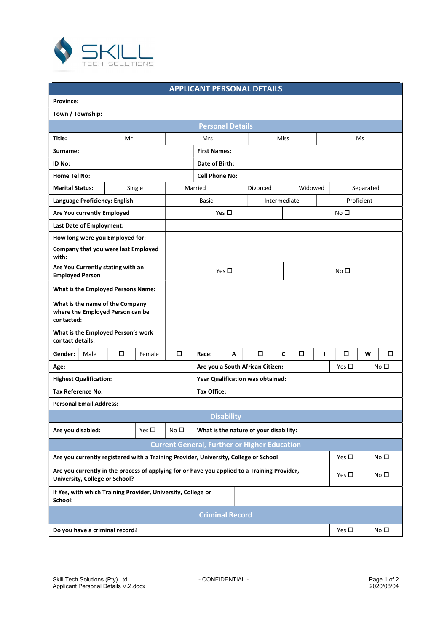

## APPLICANT PERSONAL DETAILS

| <b>Province:</b>                                                                                                               |      |                                                                                      |                                  |                         |                                                     |              |                 |                 |  |
|--------------------------------------------------------------------------------------------------------------------------------|------|--------------------------------------------------------------------------------------|----------------------------------|-------------------------|-----------------------------------------------------|--------------|-----------------|-----------------|--|
| Town / Township:                                                                                                               |      |                                                                                      |                                  |                         |                                                     |              |                 |                 |  |
|                                                                                                                                |      |                                                                                      |                                  | <b>Personal Details</b> |                                                     |              |                 |                 |  |
| Title:                                                                                                                         |      | Mr                                                                                   |                                  | Mrs                     |                                                     | Miss         |                 | Ms              |  |
| Surname:                                                                                                                       |      |                                                                                      |                                  | <b>First Names:</b>     |                                                     |              |                 |                 |  |
| ID No:                                                                                                                         |      |                                                                                      |                                  | Date of Birth:          |                                                     |              |                 |                 |  |
| <b>Home Tel No:</b>                                                                                                            |      |                                                                                      |                                  | <b>Cell Phone No:</b>   |                                                     |              |                 |                 |  |
| <b>Marital Status:</b>                                                                                                         |      | Single                                                                               |                                  | Married                 | Divorced                                            | Widowed      |                 | Separated       |  |
| Language Proficiency: English                                                                                                  |      |                                                                                      |                                  | <b>Basic</b>            |                                                     | Intermediate |                 | Proficient      |  |
| Are You currently Employed                                                                                                     |      |                                                                                      | Yes $\square$                    |                         |                                                     |              | No <sub>1</sub> |                 |  |
| Last Date of Employment:                                                                                                       |      |                                                                                      |                                  |                         |                                                     |              |                 |                 |  |
| How long were you Employed for:                                                                                                |      |                                                                                      |                                  |                         |                                                     |              |                 |                 |  |
| with:                                                                                                                          |      | Company that you were last Employed                                                  |                                  |                         |                                                     |              |                 |                 |  |
| Are You Currently stating with an<br><b>Employed Person</b>                                                                    |      |                                                                                      |                                  | Yes $\square$           |                                                     |              | No $\square$    |                 |  |
|                                                                                                                                |      | What is the Employed Persons Name:                                                   |                                  |                         |                                                     |              |                 |                 |  |
| What is the name of the Company<br>contacted:                                                                                  |      | where the Employed Person can be                                                     |                                  |                         |                                                     |              |                 |                 |  |
| contact details:                                                                                                               |      | What is the Employed Person's work                                                   |                                  |                         |                                                     |              |                 |                 |  |
| Gender:                                                                                                                        | Male | □<br>Female                                                                          | □                                | Race:<br>A              | $\Box$                                              | C<br>П       | □<br>л          | о<br>W          |  |
| Age:                                                                                                                           |      |                                                                                      |                                  |                         | Are you a South African Citizen:                    |              | Yes $\square$   | No <sub>1</sub> |  |
| <b>Highest Qualification:</b>                                                                                                  |      |                                                                                      | Year Qualification was obtained: |                         |                                                     |              |                 |                 |  |
| <b>Tax Reference No:</b>                                                                                                       |      |                                                                                      |                                  | <b>Tax Office:</b>      |                                                     |              |                 |                 |  |
| <b>Personal Email Address:</b>                                                                                                 |      |                                                                                      |                                  |                         |                                                     |              |                 |                 |  |
|                                                                                                                                |      |                                                                                      |                                  | <b>Disability</b>       |                                                     |              |                 |                 |  |
| Are you disabled:                                                                                                              |      | Yes $\square$                                                                        | No $\square$                     |                         | What is the nature of your disability:              |              |                 |                 |  |
|                                                                                                                                |      |                                                                                      |                                  |                         | <b>Current General, Further or Higher Education</b> |              |                 |                 |  |
|                                                                                                                                |      | Are you currently registered with a Training Provider, University, College or School |                                  |                         |                                                     |              | Yes $\square$   | No $\Box$       |  |
| Are you currently in the process of applying for or have you applied to a Training Provider,<br>University, College or School? |      |                                                                                      |                                  |                         |                                                     |              | Yes $\square$   | No $\square$    |  |
| School:                                                                                                                        |      | If Yes, with which Training Provider, University, College or                         |                                  |                         |                                                     |              |                 |                 |  |
|                                                                                                                                |      |                                                                                      |                                  | <b>Criminal Record</b>  |                                                     |              |                 |                 |  |
| Do you have a criminal record?                                                                                                 |      |                                                                                      |                                  |                         |                                                     |              | Yes $\square$   | No $\square$    |  |